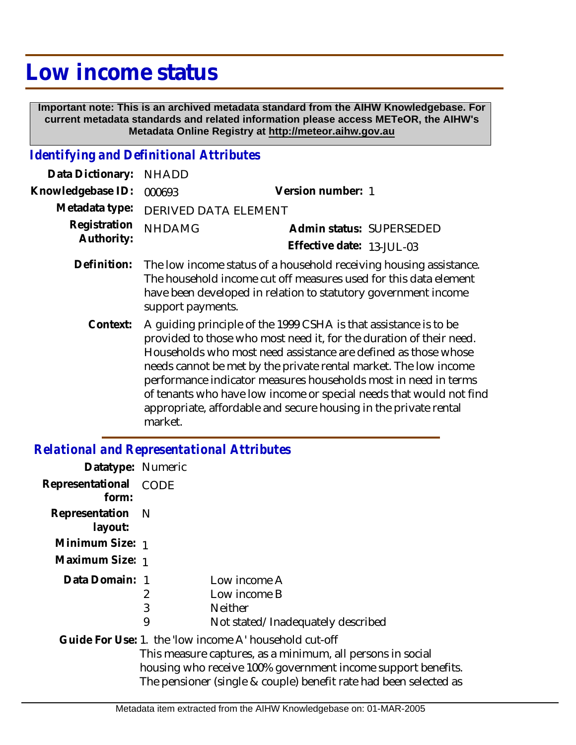## **Low income status**

 **Important note: This is an archived metadata standard from the AIHW Knowledgebase. For current metadata standards and related information please access METeOR, the AIHW's Metadata Online Registry at http://meteor.aihw.gov.au**

## *Identifying and Definitional Attributes*

| Data Dictionary:           | <b>NHADD</b>                                                                                                                                                                                                                                                                                                                                                                                                                                                                                           |                           |
|----------------------------|--------------------------------------------------------------------------------------------------------------------------------------------------------------------------------------------------------------------------------------------------------------------------------------------------------------------------------------------------------------------------------------------------------------------------------------------------------------------------------------------------------|---------------------------|
| Knowledgebase ID:          | 000693                                                                                                                                                                                                                                                                                                                                                                                                                                                                                                 | Version number: 1         |
| Metadata type:             | DERIVED DATA ELEMENT                                                                                                                                                                                                                                                                                                                                                                                                                                                                                   |                           |
| Registration<br>Authority: | <b>NHDAMG</b>                                                                                                                                                                                                                                                                                                                                                                                                                                                                                          | Admin status: SUPERSEDED  |
|                            |                                                                                                                                                                                                                                                                                                                                                                                                                                                                                                        | Effective date: 13-JUL-03 |
| Definition:                | The low income status of a household receiving housing assistance.<br>The household income cut off measures used for this data element<br>have been developed in relation to statutory government income<br>support payments.                                                                                                                                                                                                                                                                          |                           |
| Context:                   | A guiding principle of the 1999 CSHA is that assistance is to be<br>provided to those who most need it, for the duration of their need.<br>Households who most need assistance are defined as those whose<br>needs cannot be met by the private rental market. The low income<br>performance indicator measures households most in need in terms<br>of tenants who have low income or special needs that would not find<br>appropriate, affordable and secure housing in the private rental<br>market. |                           |

## *Relational and Representational Attributes*

| Datatype: Numeric              |   |                                                                                                                                                                                                 |
|--------------------------------|---|-------------------------------------------------------------------------------------------------------------------------------------------------------------------------------------------------|
| Representational CODE<br>form: |   |                                                                                                                                                                                                 |
| Representation N<br>layout:    |   |                                                                                                                                                                                                 |
| Minimum Size: 1                |   |                                                                                                                                                                                                 |
| Maximum Size: 1                |   |                                                                                                                                                                                                 |
| Data Domain: 1                 |   | Low income A                                                                                                                                                                                    |
|                                | 2 | Low income B                                                                                                                                                                                    |
|                                | 3 | <b>Neither</b>                                                                                                                                                                                  |
|                                | 9 | Not stated/Inadequately described                                                                                                                                                               |
|                                |   | Guide For Use: 1. the 'low income A' household cut-off                                                                                                                                          |
|                                |   | This measure captures, as a minimum, all persons in social<br>housing who receive 100% government income support benefits.<br>The pensioner (single & couple) benefit rate had been selected as |